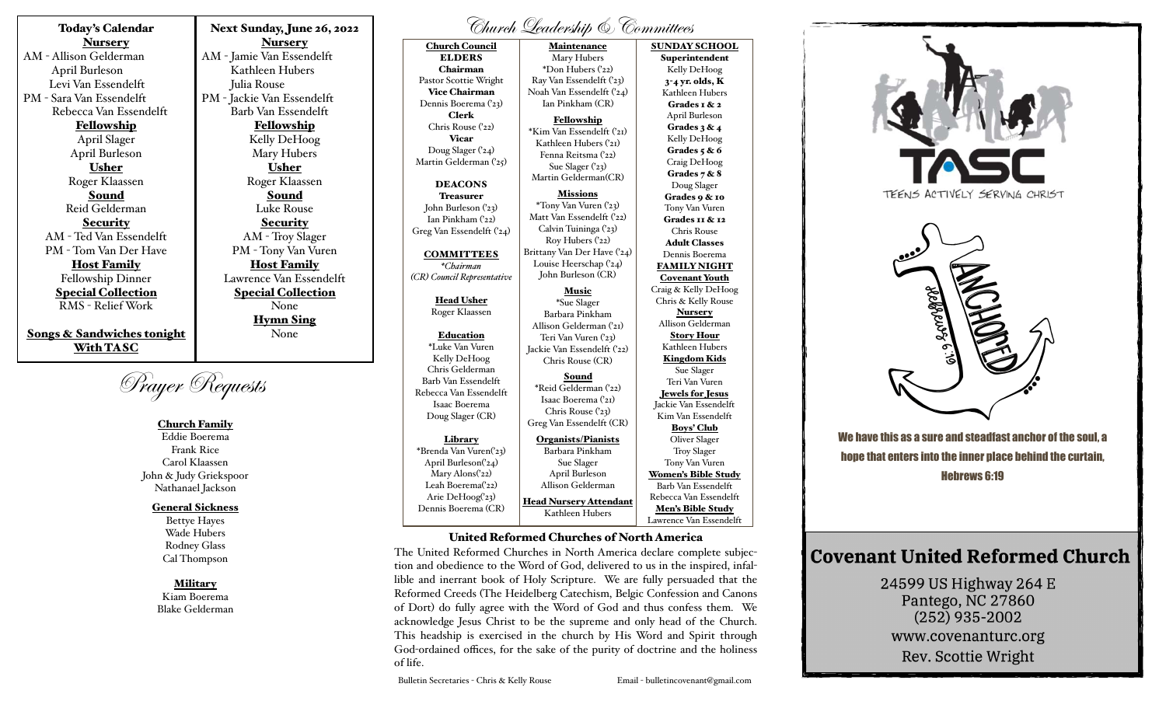Today's Calendar **Nursery** AM - Allison Gelderman April Burleson Levi Van Essendelft PM - Sara Van Essendelft Rebecca Van Essendelft Fellowship April Slager April Burleson Usher Roger Klaassen Sound Reid Gelderman Security AM - Ted Van Essendelft PM - Tom Van Der Have Host Family Fellowship Dinner Special Collection

RMS - Relief Work

Songs & Sandwiches tonight With TASC

Prayer Requests

# Church Family

Eddie Boerema Frank Rice Carol Klaassen John & Judy Griekspoor Nathanael Jackson

### General Sickness

Bettye Hayes Wade Hubers Rodney Glass Cal Thompson

#### **Military**

Kiam Boerema Blake Gelderman

Next Sunday, June 26, 2022 Nursery AM - Jamie Van Essendelft Kathleen Hubers Julia Rouse PM - Jackie Van Essendelft Barb Van Essendelft Fellowship Kelly DeHoog Mary Hubers Usher Roger Klaassen Sound Luke Rouse **Security** AM - Troy Slager PM - Tony Van Vuren Host Family Lawrence Van Essendelft Special Collection None Hymn Sing None

# Church Leadership & Committees

Church Council ELDERS Chairman Pastor Scottie Wright Vice Chairman Dennis Boerema ('23) Clerk Chris Rouse ('22) Vicar Doug Slager ('24) Martin Gelderman ('25) DEACONS Treasurer John Burleson ('23) Ian Pinkham ('22) Greg Van Essendelft ('24) **COMMITTEES** *\*Chairman (CR) Council Representative*  Head Usher Roger Klaassen Education \*Luke Van Vuren Kelly DeHoog Chris Gelderman Barb Van Essendelft Rebecca Van Essendelft Isaac Boerema Doug Slager (CR) Library \*Brenda Van Vuren('23) April Burleson('24) Mary Alons('22) Leah Boerema<sup>('22)</sup> Arie DeHoog('23) Dennis Boerema (CR) Maintenance Mary Hubers \*Don Hubers ('22) Ray Van Essendelft ('23) Noah Van Essendelft ('24) Ian Pinkham (CR) Fellowship \*Kim Van Essendelft ('21) Kathleen Hubers ('21) Fenna Reitsma ('22) Sue Slager ('23) Martin Gelderman(CR) Missions \*Tony Van Vuren ('23) Matt Van Essendelft ('22) Calvin Tuininga ('23) Roy Hubers ('22) Brittany Van Der Have ('24) Louise Heerschap ('24) John Burleson (CR) Music \*Sue Slager Barbara Pinkham Allison Gelderman ('21) Teri Van Vuren ('23) Jackie Van Essendelft ('22) Chris Rouse (CR) Sound \*Reid Gelderman ('22) Isaac Boerema ('21) Chris Rouse ('23) Greg Van Essendelft (CR) Organists/Pianists Barbara Pinkham Sue Slager April Burleson Allison Gelderman Head Nursery Attendant Kathleen Hubers SUNDAY SCHOOL Superintendent Kelly DeHoog 3-4 yr. olds, K Kathleen Hubers Grades 1 & 2 April Burleson Grades 3 & 4 Kelly DeHoog Grades  $5 & 6$ Craig DeHoog Grades 7 & 8 Doug Slager Grades 9 & 10 Tony Van Vuren Grades 11 & 12 Chris Rouse Adult Classes Dennis Boerema FAMILY NIGHT Covenant Youth Craig & Kelly DeHoog Chris & Kelly Rouse Nursery Allison Gelderman Story Hour Kathleen Hubers Kingdom Kids Sue Slager Teri Van Vuren Jewels for Jesus Jackie Van Essendelft Kim Van Essendelft Boys' Club Oliver Slager Troy Slager Tony Van Vuren Women's Bible Study Barb Van Essendelft Rebecca Van Essendelft Men's Bible Study

## United Reformed Churches of North America

The United Reformed Churches in North America declare complete subjection and obedience to the Word of God, delivered to us in the inspired, infallible and inerrant book of Holy Scripture. We are fully persuaded that the Reformed Creeds (The Heidelberg Catechism, Belgic Confession and Canons of Dort) do fully agree with the Word of God and thus confess them. We acknowledge Jesus Christ to be the supreme and only head of the Church. This headship is exercised in the church by His Word and Spirit through God-ordained offices, for the sake of the purity of doctrine and the holiness of life.

Bulletin Secretaries - Chris & Kelly Rouse Email - bulletincovenant@gmail.com



We have this as a sure and steadfast anchor of the soul, a hope that enters into the inner place behind the curtain, Hebrews 6:19

# **Covenant United Reformed Church**

24599 US Highway 264 E Pantego, NC 27860  $(252)$  935-2002 www.covenanturc.org Rev. Scottie Wright

Lawrence Van Essendelft